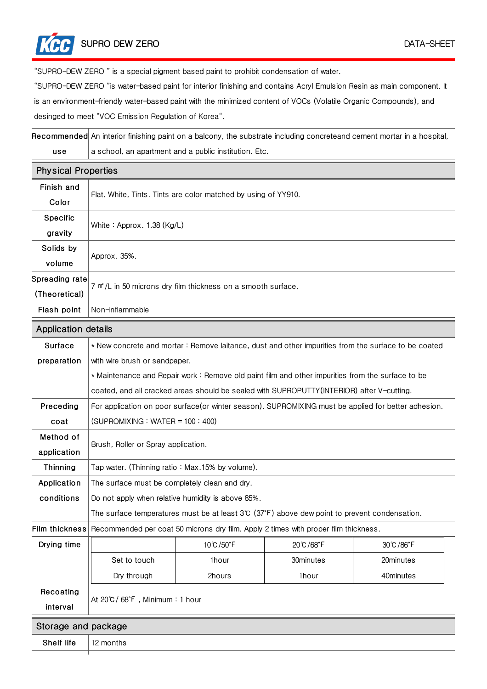## SUPRO DEW ZERO DATA-SHEET

"SUPRO-DEW ZERO " is a special pigment based paint to prohibit condensation of water.

"SUPRO-DEW ZERO "is water-based paint for interior finishing and contains Acryl Emulsion Resin as main component. It

is an environment-friendly water-based paint with the minimized content of VOCs (Volatile Organic Compounds), and desinged to meet "VOC Emission Regulation of Korea".

Recommended An interior finishing paint on a balcony, the substrate including concreteand cement mortar in a hospital, use a school, an apartment and a public institution. Etc.

| <b>Physical Properties</b> |                                                                                                                  |          |                                                                                                  |           |
|----------------------------|------------------------------------------------------------------------------------------------------------------|----------|--------------------------------------------------------------------------------------------------|-----------|
| Finish and                 | Flat. White, Tints. Tints are color matched by using of YY910.                                                   |          |                                                                                                  |           |
| Color                      |                                                                                                                  |          |                                                                                                  |           |
| Specific                   | White: Approx. 1.38 (Kg/L)                                                                                       |          |                                                                                                  |           |
| gravity                    |                                                                                                                  |          |                                                                                                  |           |
| Solids by                  | Approx. 35%.                                                                                                     |          |                                                                                                  |           |
| volume                     |                                                                                                                  |          |                                                                                                  |           |
| Spreading rate             | 7 m <sup>2</sup> /L in 50 microns dry film thickness on a smooth surface.                                        |          |                                                                                                  |           |
| (Theoretical)              |                                                                                                                  |          |                                                                                                  |           |
| Flash point                | Non-inflammable                                                                                                  |          |                                                                                                  |           |
| <b>Application details</b> |                                                                                                                  |          |                                                                                                  |           |
| Surface                    | * New concrete and mortar: Remove laitance, dust and other impurities from the surface to be coated              |          |                                                                                                  |           |
| preparation                | with wire brush or sandpaper.                                                                                    |          |                                                                                                  |           |
|                            |                                                                                                                  |          | * Maintenance and Repair work: Remove old paint film and other impurities from the surface to be |           |
|                            | coated, and all cracked areas should be sealed with SUPROPUTTY(INTERIOR) after V-cutting.                        |          |                                                                                                  |           |
| Preceding                  | For application on poor surface(or winter season). SUPROMIXING must be applied for better adhesion.              |          |                                                                                                  |           |
| coat                       | $(SUPROMIXING : WATER = 100 : 400)$                                                                              |          |                                                                                                  |           |
| Method of                  | Brush, Roller or Spray application.                                                                              |          |                                                                                                  |           |
| application                |                                                                                                                  |          |                                                                                                  |           |
| Thinning                   | Tap water. (Thinning ratio: Max.15% by volume).                                                                  |          |                                                                                                  |           |
| Application                | The surface must be completely clean and dry.                                                                    |          |                                                                                                  |           |
| conditions                 | Do not apply when relative humidity is above 85%.                                                                |          |                                                                                                  |           |
|                            | The surface temperatures must be at least $3^{\circ}$ ( $37^{\circ}$ F) above dew point to prevent condensation. |          |                                                                                                  |           |
|                            | Film thickness Recommended per coat 50 microns dry film. Apply 2 times with proper film thickness.               |          |                                                                                                  |           |
| Drying time                |                                                                                                                  | 10℃/50°F | 20℃/68°F                                                                                         | 30℃/86°F  |
|                            | Set to touch                                                                                                     | 1hour    | 30minutes                                                                                        | 20minutes |
|                            | Dry through                                                                                                      | 2hours   | 1hour                                                                                            | 40minutes |
| Recoating                  | At 20°C / 68°F, Minimum: 1 hour                                                                                  |          |                                                                                                  |           |
| interval                   |                                                                                                                  |          |                                                                                                  |           |
| Storage and package        |                                                                                                                  |          |                                                                                                  |           |
| Shelf life                 | 12 months                                                                                                        |          |                                                                                                  |           |